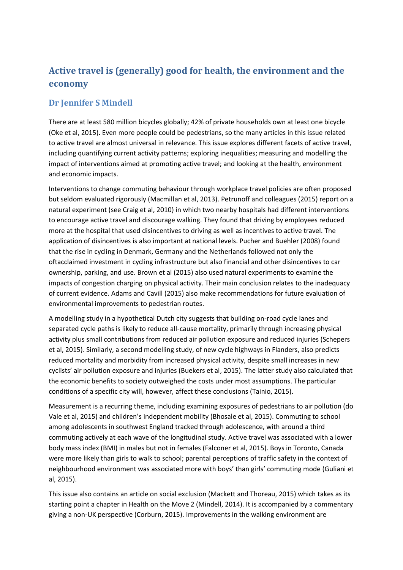## **Active travel is (generally) good for health, the environment and the economy**

## **Dr Jennifer S Mindell**

There are at least 580 million bicycles globally; 42% of private households own at least one bicycle (Oke et al, 2015). Even more people could be pedestrians, so the many articles in this issue related to active travel are almost universal in relevance. This issue explores different facets of active travel, including quantifying current activity patterns; exploring inequalities; measuring and modelling the impact of interventions aimed at promoting active travel; and looking at the health, environment and economic impacts.

Interventions to change commuting behaviour through workplace travel policies are often proposed but seldom evaluated rigorously (Macmillan et al, 2013). Petrunoff and colleagues (2015) report on a natural experiment (see Craig et al, 2010) in which two nearby hospitals had different interventions to encourage active travel and discourage walking. They found that driving by employees reduced more at the hospital that used disincentives to driving as well as incentives to active travel. The application of disincentives is also important at national levels. Pucher and Buehler (2008) found that the rise in cycling in Denmark, Germany and the Netherlands followed not only the oftacclaimed investment in cycling infrastructure but also financial and other disincentives to car ownership, parking, and use. Brown et al (2015) also used natural experiments to examine the impacts of congestion charging on physical activity. Their main conclusion relates to the inadequacy of current evidence. Adams and Cavill (2015) also make recommendations for future evaluation of environmental improvements to pedestrian routes.

A modelling study in a hypothetical Dutch city suggests that building on-road cycle lanes and separated cycle paths is likely to reduce all-cause mortality, primarily through increasing physical activity plus small contributions from reduced air pollution exposure and reduced injuries (Schepers et al, 2015). Similarly, a second modelling study, of new cycle highways in Flanders, also predicts reduced mortality and morbidity from increased physical activity, despite small increases in new cyclists' air pollution exposure and injuries (Buekers et al, 2015). The latter study also calculated that the economic benefits to society outweighed the costs under most assumptions. The particular conditions of a specific city will, however, affect these conclusions (Tainio, 2015).

Measurement is a recurring theme, including examining exposures of pedestrians to air pollution (do Vale et al, 2015) and children's independent mobility (Bhosale et al, 2015). Commuting to school among adolescents in southwest England tracked through adolescence, with around a third commuting actively at each wave of the longitudinal study. Active travel was associated with a lower body mass index (BMI) in males but not in females (Falconer et al, 2015). Boys in Toronto, Canada were more likely than girls to walk to school; parental perceptions of traffic safety in the context of neighbourhood environment was associated more with boys' than girls' commuting mode (Guliani et al, 2015).

This issue also contains an article on social exclusion (Mackett and Thoreau, 2015) which takes as its starting point a chapter in Health on the Move 2 (Mindell, 2014). It is accompanied by a commentary giving a non-UK perspective (Corburn, 2015). Improvements in the walking environment are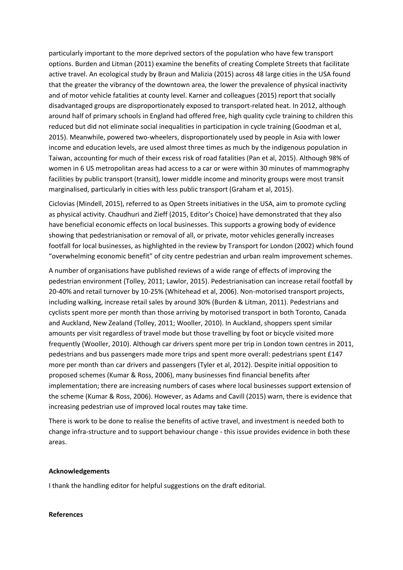particularly important to the more deprived sectors of the population who have few transport options. Burden and Litman (2011) examine the benefits of creating Complete Streets that facilitate active travel. An ecological study by Braun and Malizia (2015) across 48 large cities in the USA found that the greater the vibrancy of the downtown area, the lower the prevalence of physical inactivity and of motor vehicle fatalities at county level. Karner and colleagues (2015) report that socially disadvantaged groups are disproportionately exposed to transport-related heat. In 2012, although around half of primary schools in England had offered free, high quality cycle training to children this reduced but did not eliminate social inequalities in participation in cycle training (Goodman et al, 2015). Meanwhile, powered two-wheelers, disproportionately used by people in Asia with lower income and education levels, are used almost three times as much by the indigenous population in Taiwan, accounting for much of their excess risk of road fatalities (Pan et al, 2015). Although 98% of women in 6 US metropolitan areas had access to a car or were within 30 minutes of mammography facilities by public transport (transit), lower middle income and minority groups were most transit marginalised, particularly in cities with less public transport (Graham et al, 2015).

Ciclovias (Mindell, 2015), referred to as Open Streets initiatives in the USA, aim to promote cycling as physical activity. Chaudhuri and Zieff (2015, Editor's Choice) have demonstrated that they also have beneficial economic effects on local businesses. This supports a growing body of evidence showing that pedestrianisation or removal of all, or private, motor vehicles generally increases footfall for local businesses, as highlighted in the review by Transport for London (2002) which found "overwhelming economic benefit" of city centre pedestrian and urban realm improvement schemes.

A number of organisations have published reviews of a wide range of effects of improving the pedestrian environment (Tolley, 2011; Lawlor, 2015). Pedestrianisation can increase retail footfall by 20-40% and retail turnover by 10-25% (Whitehead et al, 2006). Non-motorised transport projects, including walking, increase retail sales by around 30% (Burden & Litman, 2011). Pedestrians and cyclists spent more per month than those arriving by motorised transport in both Toronto, Canada and Auckland, New Zealand (Tolley, 2011; Wooller, 2010). In Auckland, shoppers spent similar amounts per visit regardless of travel mode but those travelling by foot or bicycle visited more frequently (Wooller, 2010). Although car drivers spent more per trip in London town centres in 2011, pedestrians and bus passengers made more trips and spent more overall: pedestrians spent £147 more per month than car drivers and passengers (Tyler et al, 2012). Despite initial opposition to proposed schemes (Kumar & Ross, 2006), many businesses find financial benefits after implementation; there are increasing numbers of cases where local businesses support extension of the scheme (Kumar & Ross, 2006). However, as Adams and Cavill (2015) warn, there is evidence that increasing pedestrian use of improved local routes may take time.

There is work to be done to realise the benefits of active travel, and investment is needed both to change infra-structure and to support behaviour change - this issue provides evidence in both these areas.

## **Acknowledgements**

I thank the handling editor for helpful suggestions on the draft editorial.

## **References**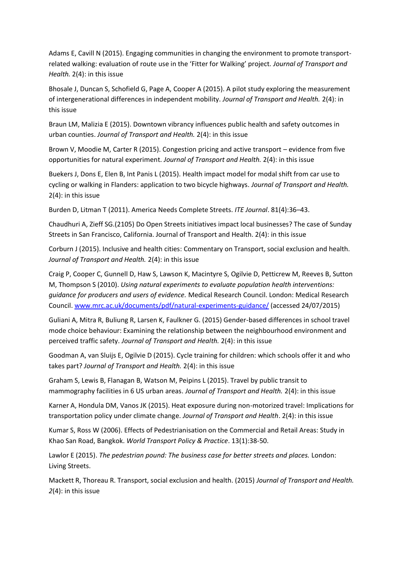Adams E, Cavill N (2015). Engaging communities in changing the environment to promote transportrelated walking: evaluation of route use in the 'Fitter for Walking' project. *Journal of Transport and Health.* 2(4): in this issue

Bhosale J, Duncan S, Schofield G, Page A, Cooper A (2015). A pilot study exploring the measurement of intergenerational differences in independent mobility. *Journal of Transport and Health.* 2(4): in this issue

Braun LM, Malizia E (2015). Downtown vibrancy influences public health and safety outcomes in urban counties. *Journal of Transport and Health.* 2(4): in this issue

Brown V, Moodie M, Carter R (2015). Congestion pricing and active transport – evidence from five opportunities for natural experiment. *Journal of Transport and Health.* 2(4): in this issue

Buekers J, Dons E, Elen B, Int Panis L (2015). Health impact model for modal shift from car use to cycling or walking in Flanders: application to two bicycle highways. *Journal of Transport and Health.* 2(4): in this issue

Burden D, Litman T (2011). America Needs Complete Streets. *ITE Journal*. 81(4):36–43.

Chaudhuri A, Zieff SG.(2105) Do Open Streets initiatives impact local businesses? The case of Sunday Streets in San Francisco, California. Journal of Transport and Health. 2(4): in this issue

Corburn J (2015). Inclusive and health cities: Commentary on Transport, social exclusion and health. *Journal of Transport and Health.* 2(4): in this issue

Craig P, Cooper C, Gunnell D, Haw S, Lawson K, Macintyre S, Ogilvie D, Petticrew M, Reeves B, Sutton M, Thompson S (2010). *Using natural experiments to evaluate population health interventions: guidance for producers and users of evidence.* Medical Research Council. London: Medical Research Council. [www.mrc.ac.uk/documents/pdf/natural-experiments-guidance/](http://www.mrc.ac.uk/documents/pdf/natural-experiments-guidance/) (accessed 24/07/2015)

Guliani A, Mitra R, Buliung R, Larsen K, Faulkner G. (2015) Gender-based differences in school travel mode choice behaviour: Examining the relationship between the neighbourhood environment and perceived traffic safety. *Journal of Transport and Health.* 2(4): in this issue

Goodman A, van Sluijs E, Ogilvie D (2015). Cycle training for children: which schools offer it and who takes part? *Journal of Transport and Health.* 2(4): in this issue

Graham S, Lewis B, Flanagan B, Watson M, Peipins L (2015). Travel by public transit to mammography facilities in 6 US urban areas. *Journal of Transport and Health.* 2(4): in this issue

Karner A, Hondula DM, Vanos JK (2015). Heat exposure during non-motorized travel: Implications for transportation policy under climate change. *Journal of Transport and Health*. 2(4): in this issue

Kumar S, Ross W (2006). Effects of Pedestrianisation on the Commercial and Retail Areas: Study in Khao San Road, Bangkok. *World Transport Policy & Practice*. 13(1):38-50.

Lawlor E (2015). *The pedestrian pound: The business case for better streets and places.* London: Living Streets.

Mackett R, Thoreau R. Transport, social exclusion and health. (2015) *Journal of Transport and Health. 2*(4): in this issue